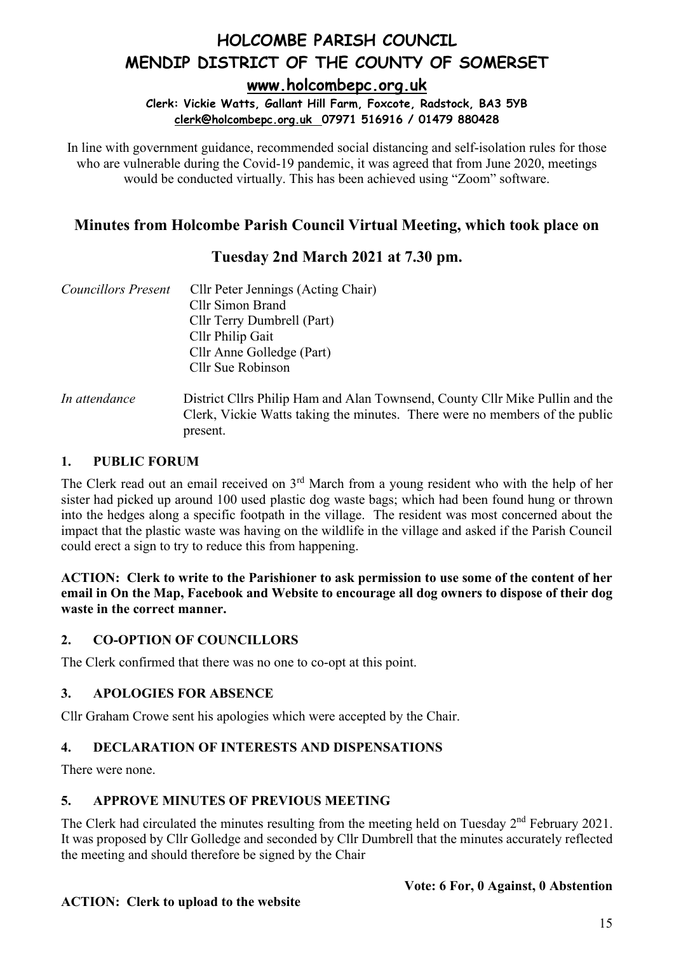**[www.holcombepc.org.uk](http://www.holcombepc.org.uk/)**

**Clerk: Vickie Watts, Gallant Hill Farm, Foxcote, Radstock, BA3 5YB [clerk@holcombepc.org.uk](mailto:victoriawatts@orange.net) 07971 516916 / 01479 880428**

In line with government guidance, recommended social distancing and self-isolation rules for those who are vulnerable during the Covid-19 pandemic, it was agreed that from June 2020, meetings would be conducted virtually. This has been achieved using "Zoom" software.

### **Minutes from Holcombe Parish Council Virtual Meeting, which took place on**

### **Tuesday 2nd March 2021 at 7.30 pm.**

| <b>Councillors Present</b> | Cllr Peter Jennings (Acting Chair)                                                                                                                                      |
|----------------------------|-------------------------------------------------------------------------------------------------------------------------------------------------------------------------|
|                            | Cllr Simon Brand                                                                                                                                                        |
|                            | Cllr Terry Dumbrell (Part)                                                                                                                                              |
|                            | Cllr Philip Gait                                                                                                                                                        |
|                            | Cllr Anne Golledge (Part)                                                                                                                                               |
|                            | Cllr Sue Robinson                                                                                                                                                       |
| In attendance              | District Cllrs Philip Ham and Alan Townsend, County Cllr Mike Pullin and the<br>Clerk, Vickie Watts taking the minutes. There were no members of the public<br>present. |

#### **1. PUBLIC FORUM**

The Clerk read out an email received on 3<sup>rd</sup> March from a young resident who with the help of her sister had picked up around 100 used plastic dog waste bags; which had been found hung or thrown into the hedges along a specific footpath in the village. The resident was most concerned about the impact that the plastic waste was having on the wildlife in the village and asked if the Parish Council could erect a sign to try to reduce this from happening.

**ACTION: Clerk to write to the Parishioner to ask permission to use some of the content of her email in On the Map, Facebook and Website to encourage all dog owners to dispose of their dog waste in the correct manner.**

#### **2. CO-OPTION OF COUNCILLORS**

The Clerk confirmed that there was no one to co-opt at this point.

### **3. APOLOGIES FOR ABSENCE**

Cllr Graham Crowe sent his apologies which were accepted by the Chair.

#### **4. DECLARATION OF INTERESTS AND DISPENSATIONS**

There were none.

#### **5. APPROVE MINUTES OF PREVIOUS MEETING**

The Clerk had circulated the minutes resulting from the meeting held on Tuesday  $2<sup>nd</sup>$  February 2021. It was proposed by Cllr Golledge and seconded by Cllr Dumbrell that the minutes accurately reflected the meeting and should therefore be signed by the Chair

#### **Vote: 6 For, 0 Against, 0 Abstention**

#### **ACTION: Clerk to upload to the website**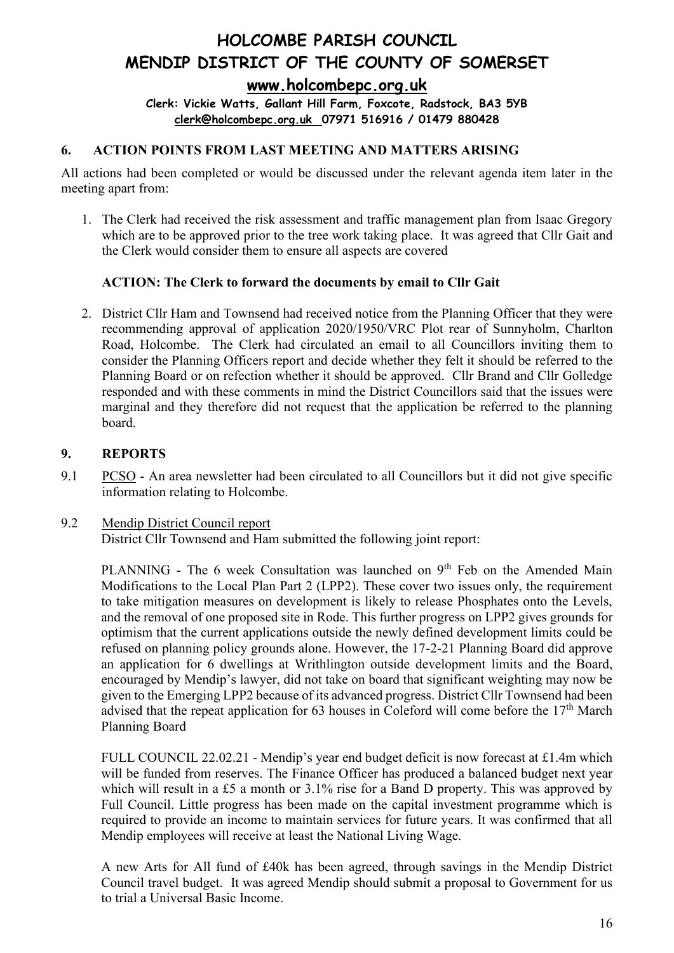**Clerk: Vickie Watts, Gallant Hill Farm, Foxcote, Radstock, BA3 5YB [clerk@holcombepc.org.uk](mailto:victoriawatts@orange.net) 07971 516916 / 01479 880428**

#### **6. ACTION POINTS FROM LAST MEETING AND MATTERS ARISING**

All actions had been completed or would be discussed under the relevant agenda item later in the meeting apart from:

1. The Clerk had received the risk assessment and traffic management plan from Isaac Gregory which are to be approved prior to the tree work taking place. It was agreed that Cllr Gait and the Clerk would consider them to ensure all aspects are covered

#### **ACTION: The Clerk to forward the documents by email to Cllr Gait**

2. District Cllr Ham and Townsend had received notice from the Planning Officer that they were recommending approval of application 2020/1950/VRC Plot rear of Sunnyholm, Charlton Road, Holcombe. The Clerk had circulated an email to all Councillors inviting them to consider the Planning Officers report and decide whether they felt it should be referred to the Planning Board or on refection whether it should be approved. Cllr Brand and Cllr Golledge responded and with these comments in mind the District Councillors said that the issues were marginal and they therefore did not request that the application be referred to the planning board.

#### **9. REPORTS**

- 9.1 PCSO An area newsletter had been circulated to all Councillors but it did not give specific information relating to Holcombe.
- 9.2 Mendip District Council report District Cllr Townsend and Ham submitted the following joint report:

PLANNING - The 6 week Consultation was launched on 9<sup>th</sup> Feb on the Amended Main Modifications to the Local Plan Part 2 (LPP2). These cover two issues only, the requirement to take mitigation measures on development is likely to release Phosphates onto the Levels, and the removal of one proposed site in Rode. This further progress on LPP2 gives grounds for optimism that the current applications outside the newly defined development limits could be refused on planning policy grounds alone. However, the 17-2-21 Planning Board did approve an application for 6 dwellings at Writhlington outside development limits and the Board, encouraged by Mendip's lawyer, did not take on board that significant weighting may now be given to the Emerging LPP2 because of its advanced progress. District Cllr Townsend had been advised that the repeat application for 63 houses in Coleford will come before the  $17<sup>th</sup>$  March Planning Board

FULL COUNCIL 22.02.21 - Mendip's year end budget deficit is now forecast at £1.4m which will be funded from reserves. The Finance Officer has produced a balanced budget next year which will result in a £5 a month or 3.1% rise for a Band D property. This was approved by Full Council. Little progress has been made on the capital investment programme which is required to provide an income to maintain services for future years. It was confirmed that all Mendip employees will receive at least the National Living Wage.

A new Arts for All fund of £40k has been agreed, through savings in the Mendip District Council travel budget. It was agreed Mendip should submit a proposal to Government for us to trial a Universal Basic Income.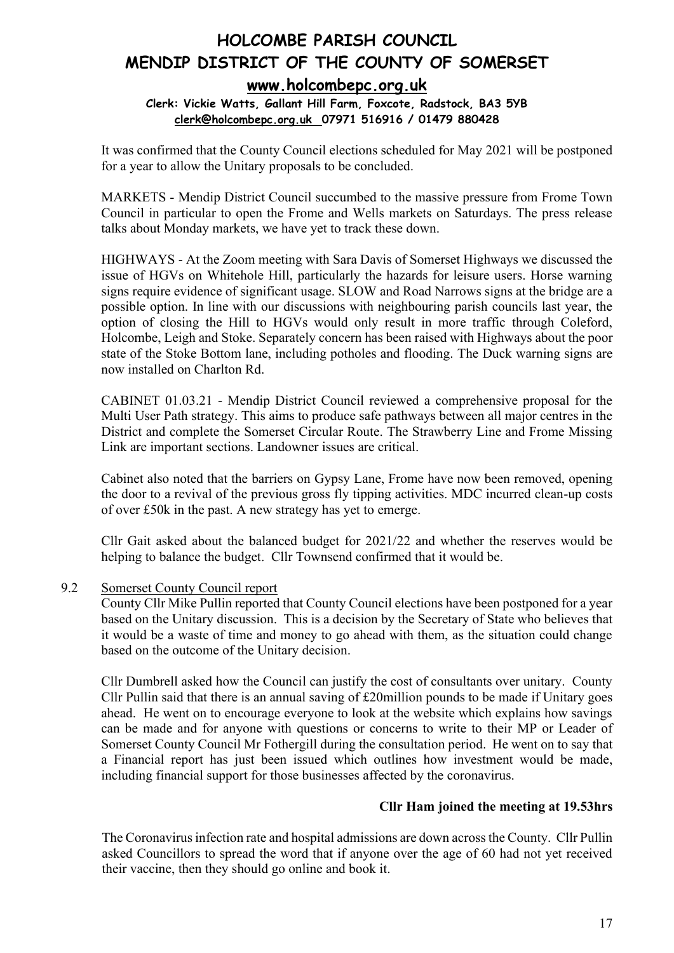#### **Clerk: Vickie Watts, Gallant Hill Farm, Foxcote, Radstock, BA3 5YB [clerk@holcombepc.org.uk](mailto:victoriawatts@orange.net) 07971 516916 / 01479 880428**

It was confirmed that the County Council elections scheduled for May 2021 will be postponed for a year to allow the Unitary proposals to be concluded.

MARKETS - Mendip District Council succumbed to the massive pressure from Frome Town Council in particular to open the Frome and Wells markets on Saturdays. The press release talks about Monday markets, we have yet to track these down.

HIGHWAYS - At the Zoom meeting with Sara Davis of Somerset Highways we discussed the issue of HGVs on Whitehole Hill, particularly the hazards for leisure users. Horse warning signs require evidence of significant usage. SLOW and Road Narrows signs at the bridge are a possible option. In line with our discussions with neighbouring parish councils last year, the option of closing the Hill to HGVs would only result in more traffic through Coleford, Holcombe, Leigh and Stoke. Separately concern has been raised with Highways about the poor state of the Stoke Bottom lane, including potholes and flooding. The Duck warning signs are now installed on Charlton Rd.

CABINET 01.03.21 - Mendip District Council reviewed a comprehensive proposal for the Multi User Path strategy. This aims to produce safe pathways between all major centres in the District and complete the Somerset Circular Route. The Strawberry Line and Frome Missing Link are important sections. Landowner issues are critical.

Cabinet also noted that the barriers on Gypsy Lane, Frome have now been removed, opening the door to a revival of the previous gross fly tipping activities. MDC incurred clean-up costs of over £50k in the past. A new strategy has yet to emerge.

Cllr Gait asked about the balanced budget for 2021/22 and whether the reserves would be helping to balance the budget. Cllr Townsend confirmed that it would be.

9.2 Somerset County Council report

County Cllr Mike Pullin reported that County Council elections have been postponed for a year based on the Unitary discussion. This is a decision by the Secretary of State who believes that it would be a waste of time and money to go ahead with them, as the situation could change based on the outcome of the Unitary decision.

Cllr Dumbrell asked how the Council can justify the cost of consultants over unitary. County Cllr Pullin said that there is an annual saving of £20million pounds to be made if Unitary goes ahead. He went on to encourage everyone to look at the website which explains how savings can be made and for anyone with questions or concerns to write to their MP or Leader of Somerset County Council Mr Fothergill during the consultation period. He went on to say that a Financial report has just been issued which outlines how investment would be made, including financial support for those businesses affected by the coronavirus.

#### **Cllr Ham joined the meeting at 19.53hrs**

The Coronavirus infection rate and hospital admissions are down across the County. Cllr Pullin asked Councillors to spread the word that if anyone over the age of 60 had not yet received their vaccine, then they should go online and book it.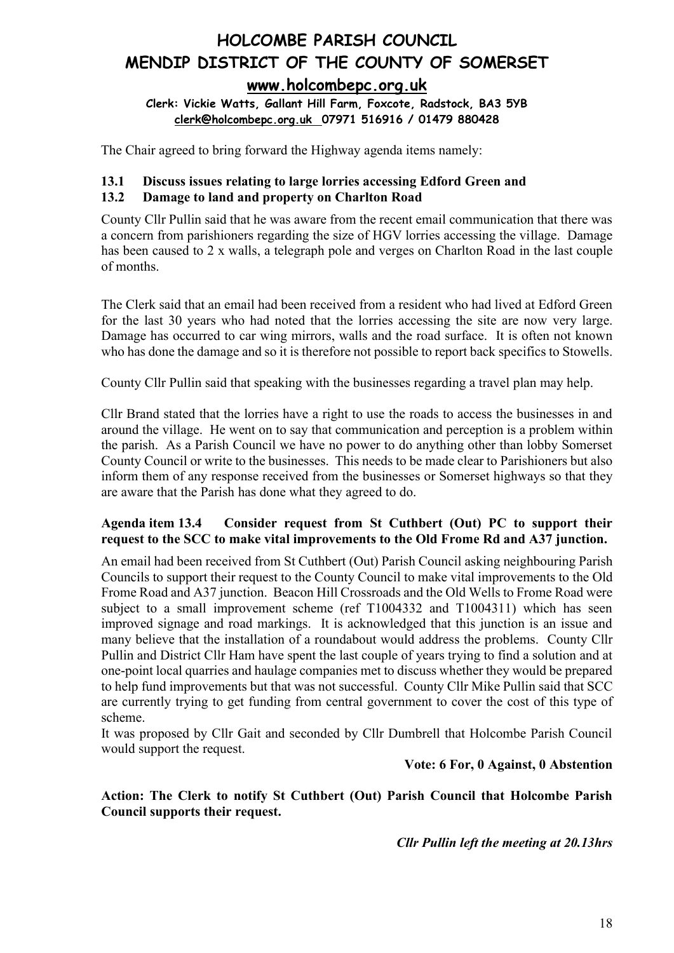**[www.holcombepc.org.uk](http://www.holcombepc.org.uk/)**

**Clerk: Vickie Watts, Gallant Hill Farm, Foxcote, Radstock, BA3 5YB [clerk@holcombepc.org.uk](mailto:victoriawatts@orange.net) 07971 516916 / 01479 880428**

The Chair agreed to bring forward the Highway agenda items namely:

### **13.1 Discuss issues relating to large lorries accessing Edford Green and**

#### **13.2 Damage to land and property on Charlton Road**

County Cllr Pullin said that he was aware from the recent email communication that there was a concern from parishioners regarding the size of HGV lorries accessing the village. Damage has been caused to 2 x walls, a telegraph pole and verges on Charlton Road in the last couple of months.

The Clerk said that an email had been received from a resident who had lived at Edford Green for the last 30 years who had noted that the lorries accessing the site are now very large. Damage has occurred to car wing mirrors, walls and the road surface. It is often not known who has done the damage and so it is therefore not possible to report back specifics to Stowells.

County Cllr Pullin said that speaking with the businesses regarding a travel plan may help.

Cllr Brand stated that the lorries have a right to use the roads to access the businesses in and around the village. He went on to say that communication and perception is a problem within the parish. As a Parish Council we have no power to do anything other than lobby Somerset County Council or write to the businesses. This needs to be made clear to Parishioners but also inform them of any response received from the businesses or Somerset highways so that they are aware that the Parish has done what they agreed to do.

#### **Agenda item 13.4 Consider request from St Cuthbert (Out) PC to support their request to the SCC to make vital improvements to the Old Frome Rd and A37 junction.**

An email had been received from St Cuthbert (Out) Parish Council asking neighbouring Parish Councils to support their request to the County Council to make vital improvements to the Old Frome Road and A37 junction. Beacon Hill Crossroads and the Old Wells to Frome Road were subject to a small improvement scheme (ref T1004332 and T1004311) which has seen improved signage and road markings. It is acknowledged that this junction is an issue and many believe that the installation of a roundabout would address the problems. County Cllr Pullin and District Cllr Ham have spent the last couple of years trying to find a solution and at one-point local quarries and haulage companies met to discuss whether they would be prepared to help fund improvements but that was not successful. County Cllr Mike Pullin said that SCC are currently trying to get funding from central government to cover the cost of this type of scheme.

It was proposed by Cllr Gait and seconded by Cllr Dumbrell that Holcombe Parish Council would support the request.

**Vote: 6 For, 0 Against, 0 Abstention**

**Action: The Clerk to notify St Cuthbert (Out) Parish Council that Holcombe Parish Council supports their request.**

*Cllr Pullin left the meeting at 20.13hrs*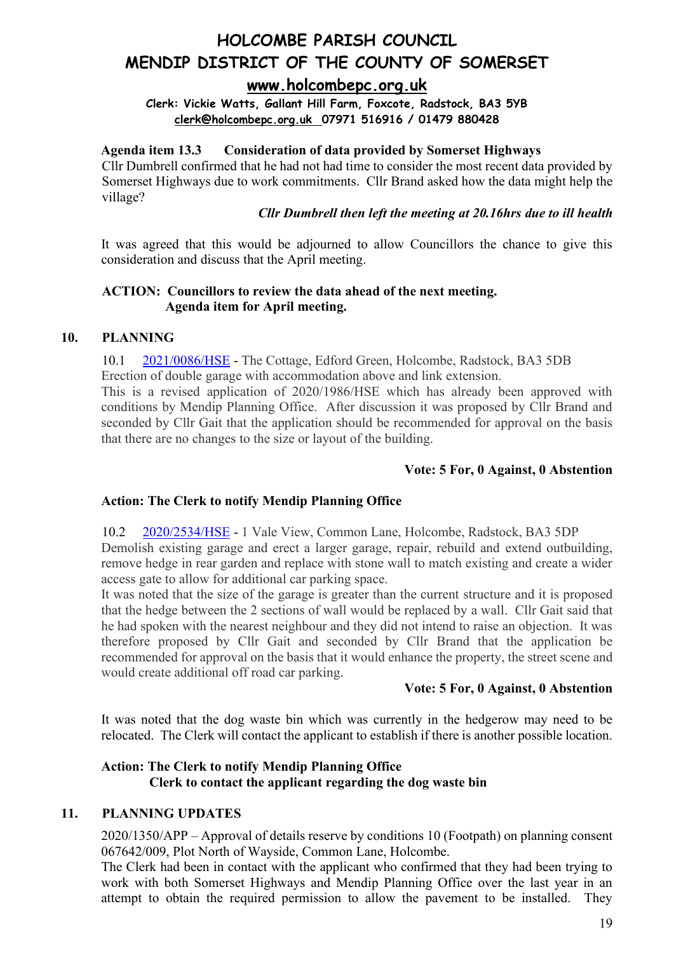## **[www.holcombepc.org.uk](http://www.holcombepc.org.uk/)**

**Clerk: Vickie Watts, Gallant Hill Farm, Foxcote, Radstock, BA3 5YB [clerk@holcombepc.org.uk](mailto:victoriawatts@orange.net) 07971 516916 / 01479 880428**

#### **Agenda item 13.3 Consideration of data provided by Somerset Highways**

Cllr Dumbrell confirmed that he had not had time to consider the most recent data provided by Somerset Highways due to work commitments. Cllr Brand asked how the data might help the village?

#### *Cllr Dumbrell then left the meeting at 20.16hrs due to ill health*

It was agreed that this would be adjourned to allow Councillors the chance to give this consideration and discuss that the April meeting.

#### **ACTION: Councillors to review the data ahead of the next meeting. Agenda item for April meeting.**

#### **10. PLANNING**

10.1 [2021/0086/HSE](https://publicaccess.mendip.gov.uk/online-applications/simpleSearchResults.do?action=firstPage) - The Cottage, Edford Green, Holcombe, Radstock, BA3 5DB Erection of double garage with accommodation above and link extension.

This is a revised application of 2020/1986/HSE which has already been approved with conditions by Mendip Planning Office. After discussion it was proposed by Cllr Brand and seconded by Cllr Gait that the application should be recommended for approval on the basis that there are no changes to the size or layout of the building.

#### **Vote: 5 For, 0 Against, 0 Abstention**

#### **Action: The Clerk to notify Mendip Planning Office**

10.2 [2020/2534/HSE](https://publicaccess.mendip.gov.uk/online-applications/simpleSearchResults.do?action=firstPage) - 1 Vale View, Common Lane, Holcombe, Radstock, BA3 5DP Demolish existing garage and erect a larger garage, repair, rebuild and extend outbuilding, remove hedge in rear garden and replace with stone wall to match existing and create a wider access gate to allow for additional car parking space.

It was noted that the size of the garage is greater than the current structure and it is proposed that the hedge between the 2 sections of wall would be replaced by a wall. Cllr Gait said that he had spoken with the nearest neighbour and they did not intend to raise an objection. It was therefore proposed by Cllr Gait and seconded by Cllr Brand that the application be recommended for approval on the basis that it would enhance the property, the street scene and would create additional off road car parking.

#### **Vote: 5 For, 0 Against, 0 Abstention**

It was noted that the dog waste bin which was currently in the hedgerow may need to be relocated. The Clerk will contact the applicant to establish if there is another possible location.

#### **Action: The Clerk to notify Mendip Planning Office Clerk to contact the applicant regarding the dog waste bin**

#### **11. PLANNING UPDATES**

2020/1350/APP – Approval of details reserve by conditions 10 (Footpath) on planning consent 067642/009, Plot North of Wayside, Common Lane, Holcombe.

The Clerk had been in contact with the applicant who confirmed that they had been trying to work with both Somerset Highways and Mendip Planning Office over the last year in an attempt to obtain the required permission to allow the pavement to be installed. They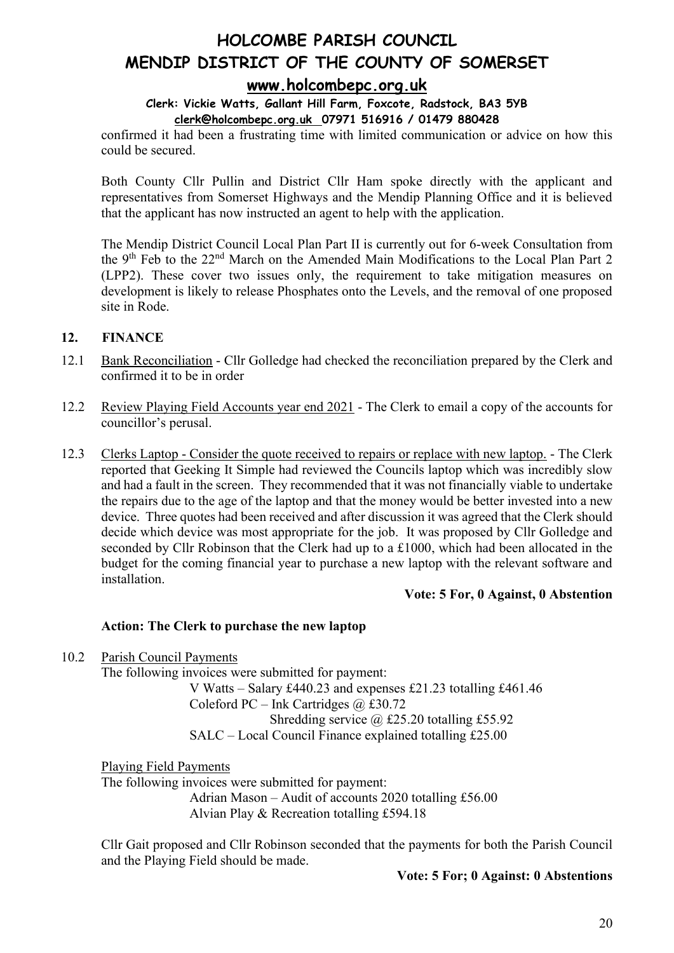#### **Clerk: Vickie Watts, Gallant Hill Farm, Foxcote, Radstock, BA3 5YB [clerk@holcombepc.org.uk](mailto:victoriawatts@orange.net) 07971 516916 / 01479 880428**

confirmed it had been a frustrating time with limited communication or advice on how this could be secured.

Both County Cllr Pullin and District Cllr Ham spoke directly with the applicant and representatives from Somerset Highways and the Mendip Planning Office and it is believed that the applicant has now instructed an agent to help with the application.

The Mendip District Council Local Plan Part II is currently out for 6-week Consultation from the 9th Feb to the 22nd March on the Amended Main Modifications to the Local Plan Part 2 (LPP2). These cover two issues only, the requirement to take mitigation measures on development is likely to release Phosphates onto the Levels, and the removal of one proposed site in Rode.

#### **12. FINANCE**

- 12.1 Bank Reconciliation Cllr Golledge had checked the reconciliation prepared by the Clerk and confirmed it to be in order
- 12.2 Review Playing Field Accounts year end 2021 The Clerk to email a copy of the accounts for councillor's perusal.
- 12.3 Clerks Laptop Consider the quote received to repairs or replace with new laptop. The Clerk reported that Geeking It Simple had reviewed the Councils laptop which was incredibly slow and had a fault in the screen. They recommended that it was not financially viable to undertake the repairs due to the age of the laptop and that the money would be better invested into a new device. Three quotes had been received and after discussion it was agreed that the Clerk should decide which device was most appropriate for the job. It was proposed by Cllr Golledge and seconded by Cllr Robinson that the Clerk had up to a £1000, which had been allocated in the budget for the coming financial year to purchase a new laptop with the relevant software and installation.

#### **Vote: 5 For, 0 Against, 0 Abstention**

#### **Action: The Clerk to purchase the new laptop**

10.2 Parish Council Payments The following invoices were submitted for payment: V Watts – Salary £440.23 and expenses £21.23 totalling £461.46 Coleford PC – Ink Cartridges  $(a)$  £30.72 Shredding service  $\omega$  £25.20 totalling £55.92 SALC – Local Council Finance explained totalling £25.00

Playing Field Payments The following invoices were submitted for payment: Adrian Mason – Audit of accounts 2020 totalling £56.00 Alvian Play & Recreation totalling £594.18

Cllr Gait proposed and Cllr Robinson seconded that the payments for both the Parish Council and the Playing Field should be made.

#### **Vote: 5 For; 0 Against: 0 Abstentions**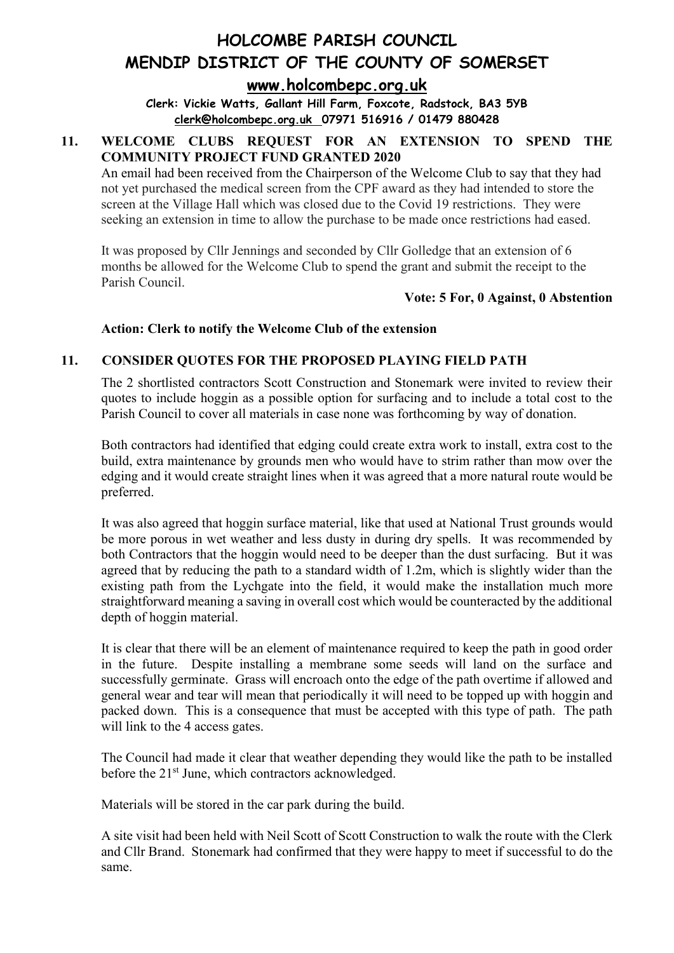**[www.holcombepc.org.uk](http://www.holcombepc.org.uk/)**

**Clerk: Vickie Watts, Gallant Hill Farm, Foxcote, Radstock, BA3 5YB [clerk@holcombepc.org.uk](mailto:victoriawatts@orange.net) 07971 516916 / 01479 880428**

### **11. WELCOME CLUBS REQUEST FOR AN EXTENSION TO SPEND THE COMMUNITY PROJECT FUND GRANTED 2020**

An email had been received from the Chairperson of the Welcome Club to say that they had not yet purchased the medical screen from the CPF award as they had intended to store the screen at the Village Hall which was closed due to the Covid 19 restrictions. They were seeking an extension in time to allow the purchase to be made once restrictions had eased.

It was proposed by Cllr Jennings and seconded by Cllr Golledge that an extension of 6 months be allowed for the Welcome Club to spend the grant and submit the receipt to the Parish Council.

**Vote: 5 For, 0 Against, 0 Abstention**

#### **Action: Clerk to notify the Welcome Club of the extension**

#### **11. CONSIDER QUOTES FOR THE PROPOSED PLAYING FIELD PATH**

The 2 shortlisted contractors Scott Construction and Stonemark were invited to review their quotes to include hoggin as a possible option for surfacing and to include a total cost to the Parish Council to cover all materials in case none was forthcoming by way of donation.

Both contractors had identified that edging could create extra work to install, extra cost to the build, extra maintenance by grounds men who would have to strim rather than mow over the edging and it would create straight lines when it was agreed that a more natural route would be preferred.

It was also agreed that hoggin surface material, like that used at National Trust grounds would be more porous in wet weather and less dusty in during dry spells. It was recommended by both Contractors that the hoggin would need to be deeper than the dust surfacing. But it was agreed that by reducing the path to a standard width of 1.2m, which is slightly wider than the existing path from the Lychgate into the field, it would make the installation much more straightforward meaning a saving in overall cost which would be counteracted by the additional depth of hoggin material.

It is clear that there will be an element of maintenance required to keep the path in good order in the future. Despite installing a membrane some seeds will land on the surface and successfully germinate. Grass will encroach onto the edge of the path overtime if allowed and general wear and tear will mean that periodically it will need to be topped up with hoggin and packed down. This is a consequence that must be accepted with this type of path. The path will link to the 4 access gates.

The Council had made it clear that weather depending they would like the path to be installed before the 21<sup>st</sup> June, which contractors acknowledged.

Materials will be stored in the car park during the build.

A site visit had been held with Neil Scott of Scott Construction to walk the route with the Clerk and Cllr Brand. Stonemark had confirmed that they were happy to meet if successful to do the same.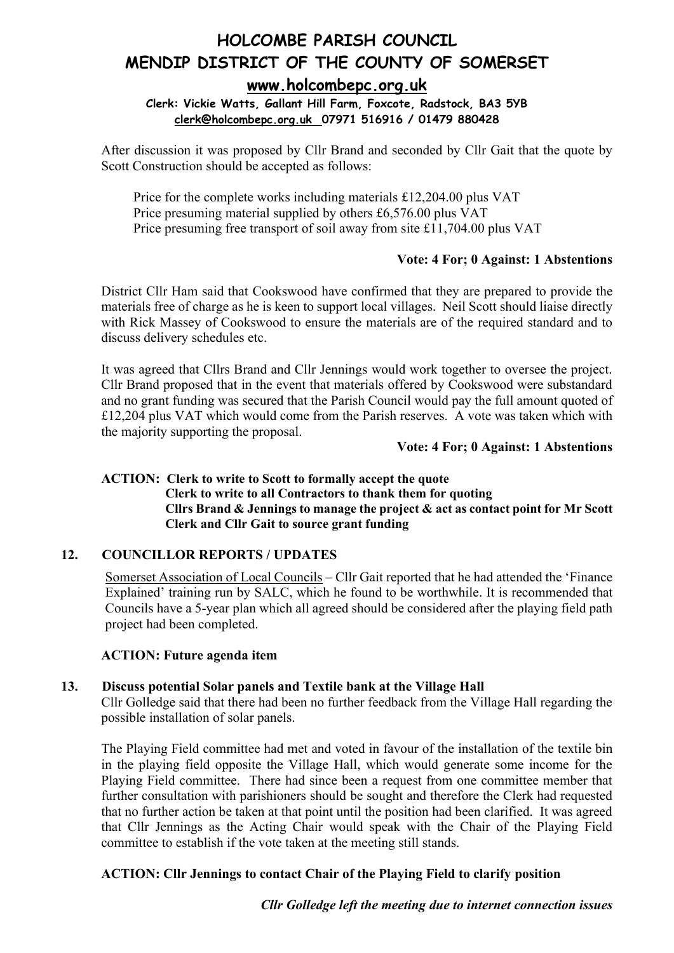## **[www.holcombepc.org.uk](http://www.holcombepc.org.uk/)**

#### **Clerk: Vickie Watts, Gallant Hill Farm, Foxcote, Radstock, BA3 5YB [clerk@holcombepc.org.uk](mailto:victoriawatts@orange.net) 07971 516916 / 01479 880428**

After discussion it was proposed by Cllr Brand and seconded by Cllr Gait that the quote by Scott Construction should be accepted as follows:

Price for the complete works including materials £12,204.00 plus VAT Price presuming material supplied by others £6,576.00 plus VAT Price presuming free transport of soil away from site £11,704.00 plus VAT

#### **Vote: 4 For; 0 Against: 1 Abstentions**

District Cllr Ham said that Cookswood have confirmed that they are prepared to provide the materials free of charge as he is keen to support local villages. Neil Scott should liaise directly with Rick Massey of Cookswood to ensure the materials are of the required standard and to discuss delivery schedules etc.

It was agreed that Cllrs Brand and Cllr Jennings would work together to oversee the project. Cllr Brand proposed that in the event that materials offered by Cookswood were substandard and no grant funding was secured that the Parish Council would pay the full amount quoted of £12,204 plus VAT which would come from the Parish reserves. A vote was taken which with the majority supporting the proposal.

#### **Vote: 4 For; 0 Against: 1 Abstentions**

#### **ACTION: Clerk to write to Scott to formally accept the quote Clerk to write to all Contractors to thank them for quoting Cllrs Brand & Jennings to manage the project & act as contact point for Mr Scott Clerk and Cllr Gait to source grant funding**

#### **12. COUNCILLOR REPORTS / UPDATES**

Somerset Association of Local Councils – Cllr Gait reported that he had attended the 'Finance Explained' training run by SALC, which he found to be worthwhile. It is recommended that Councils have a 5-year plan which all agreed should be considered after the playing field path project had been completed.

#### **ACTION: Future agenda item**

#### **13. Discuss potential Solar panels and Textile bank at the Village Hall**

Cllr Golledge said that there had been no further feedback from the Village Hall regarding the possible installation of solar panels.

The Playing Field committee had met and voted in favour of the installation of the textile bin in the playing field opposite the Village Hall, which would generate some income for the Playing Field committee. There had since been a request from one committee member that further consultation with parishioners should be sought and therefore the Clerk had requested that no further action be taken at that point until the position had been clarified. It was agreed that Cllr Jennings as the Acting Chair would speak with the Chair of the Playing Field committee to establish if the vote taken at the meeting still stands.

#### **ACTION: Cllr Jennings to contact Chair of the Playing Field to clarify position**

*Cllr Golledge left the meeting due to internet connection issues*